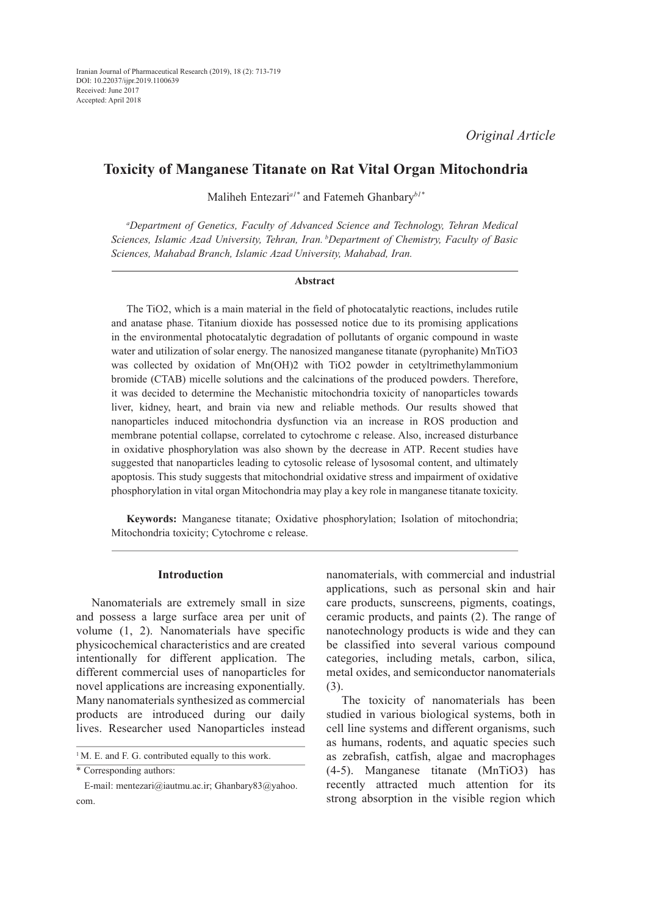# **Toxicity of Manganese Titanate on Rat Vital Organ Mitochondria**

Maliheh Entezari*a1\** and Fatemeh Ghanbary*b1\**

*a Department of Genetics, Faculty of Advanced Science and Technology, Tehran Medical Sciences, Islamic Azad University, Tehran, Iran. bDepartment of Chemistry, Faculty of Basic Sciences, Mahabad Branch, Islamic Azad University, Mahabad, Iran.*

#### **Abstract**

The TiO2, which is a main material in the field of photocatalytic reactions, includes rutile and anatase phase. Titanium dioxide has possessed notice due to its promising applications in the environmental photocatalytic degradation of pollutants of organic compound in waste water and utilization of solar energy. The nanosized manganese titanate (pyrophanite) MnTiO3 was collected by oxidation of Mn(OH)2 with TiO2 powder in cetyltrimethylammonium bromide (CTAB) micelle solutions and the calcinations of the produced powders. Therefore, it was decided to determine the Mechanistic mitochondria toxicity of nanoparticles towards liver, kidney, heart, and brain via new and reliable methods. Our results showed that nanoparticles induced mitochondria dysfunction via an increase in ROS production and membrane potential collapse, correlated to cytochrome c release. Also, increased disturbance in oxidative phosphorylation was also shown by the decrease in ATP. Recent studies have suggested that nanoparticles leading to cytosolic release of lysosomal content, and ultimately apoptosis. This study suggests that mitochondrial oxidative stress and impairment of oxidative phosphorylation in vital organ Mitochondria may play a key role in manganese titanate toxicity.

**Keywords:** Manganese titanate; Oxidative phosphorylation; Isolation of mitochondria; Mitochondria toxicity; Cytochrome c release.

### **Introduction**

Nanomaterials are extremely small in size and possess a large surface area per unit of volume (1, 2). Nanomaterials have specific physicochemical characteristics and are created intentionally for different application. The different commercial uses of nanoparticles for novel applications are increasing exponentially. Many nanomaterials synthesized as commercial products are introduced during our daily lives. Researcher used Nanoparticles instead nanomaterials, with commercial and industrial applications, such as personal skin and hair care products, sunscreens, pigments, coatings, ceramic products, and paints (2). The range of nanotechnology products is wide and they can be classified into several various compound categories, including metals, carbon, silica, metal oxides, and semiconductor nanomaterials (3).

The toxicity of nanomaterials has been studied in various biological systems, both in cell line systems and different organisms, such as humans, rodents, and aquatic species such as zebrafish, catfish, algae and macrophages (4-5). Manganese titanate (MnTiO3) has recently attracted much attention for its strong absorption in the visible region which

<sup>&</sup>lt;sup>1</sup>M. E. and F. G. contributed equally to this work.

<sup>\*</sup> Corresponding authors:

E-mail: mentezari@iautmu.ac.ir; Ghanbary83@yahoo. com.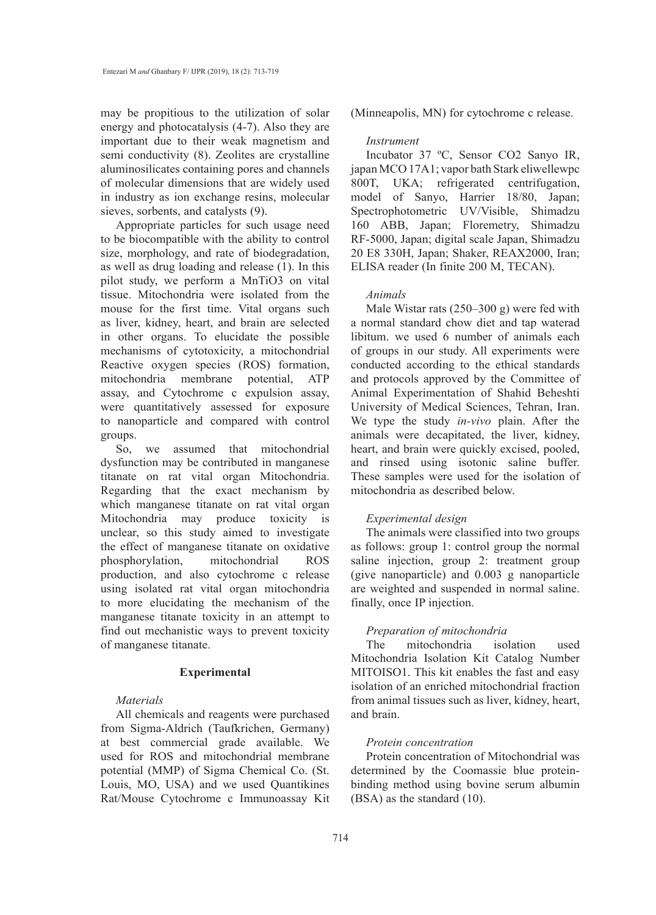may be propitious to the utilization of solar energy and photocatalysis (4-7). Also they are important due to their weak magnetism and semi conductivity (8). Zeolites are crystalline aluminosilicates containing pores and channels of molecular dimensions that are widely used in industry as ion exchange resins, molecular sieves, sorbents, and catalysts (9).

Appropriate particles for such usage need to be biocompatible with the ability to control size, morphology, and rate of biodegradation, as well as drug loading and release (1). In this pilot study, we perform a MnTiO3 on vital tissue. Mitochondria were isolated from the mouse for the first time. Vital organs such as liver, kidney, heart, and brain are selected in other organs. To elucidate the possible mechanisms of cytotoxicity, a mitochondrial Reactive oxygen species (ROS) formation, mitochondria membrane potential, ATP assay, and Cytochrome c expulsion assay, were quantitatively assessed for exposure to nanoparticle and compared with control groups.

So, we assumed that mitochondrial dysfunction may be contributed in manganese titanate on rat vital organ Mitochondria. Regarding that the exact mechanism by which manganese titanate on rat vital organ Mitochondria may produce toxicity is unclear, so this study aimed to investigate the effect of manganese titanate on oxidative phosphorylation, mitochondrial ROS production, and also cytochrome c release using isolated rat vital organ mitochondria to more elucidating the mechanism of the manganese titanate toxicity in an attempt to find out mechanistic ways to prevent toxicity of manganese titanate.

#### **Experimental**

#### *Materials*

All chemicals and reagents were purchased from Sigma-Aldrich (Taufkrichen, Germany) at best commercial grade available. We used for ROS and mitochondrial membrane potential (MMP) of Sigma Chemical Co. (St. Louis, MO, USA) and we used Quantikines Rat/Mouse Cytochrome c Immunoassay Kit (Minneapolis, MN) for cytochrome c release.

#### *Instrument*

Incubator 37 ºC, Sensor CO2 Sanyo IR, japan MCO 17A1; vapor bath Stark eliwellewpc 800T, UKA; refrigerated centrifugation, model of Sanyo, Harrier 18/80, Japan; Spectrophotometric UV/Visible, Shimadzu 160 ABB, Japan; Floremetry, Shimadzu RF-5000, Japan; digital scale Japan, Shimadzu 20 E8 330H, Japan; Shaker, REAX2000, Iran; ELISA reader (In finite 200 M, TECAN).

#### *Animals*

Male Wistar rats (250–300 g) were fed with a normal standard chow diet and tap waterad libitum. we used 6 number of animals each of groups in our study. All experiments were conducted according to the ethical standards and protocols approved by the Committee of Animal Experimentation of Shahid Beheshti University of Medical Sciences, Tehran, Iran. We type the study *in-vivo* plain. After the animals were decapitated, the liver, kidney, heart, and brain were quickly excised, pooled, and rinsed using isotonic saline buffer. These samples were used for the isolation of mitochondria as described below.

# *Experimental design*

The animals were classified into two groups as follows: group 1: control group the normal saline injection, group 2: treatment group (give nanoparticle) and 0.003 g nanoparticle are weighted and suspended in normal saline. finally, once IP injection.

# *Preparation of mitochondria*

The mitochondria isolation used Mitochondria Isolation Kit Catalog Number MITOISO1. This kit enables the fast and easy isolation of an enriched mitochondrial fraction from animal tissues such as liver, kidney, heart, and brain.

# *Protein concentration*

Protein concentration of Mitochondrial was determined by the Coomassie blue proteinbinding method using bovine serum albumin (BSA) as the standard (10).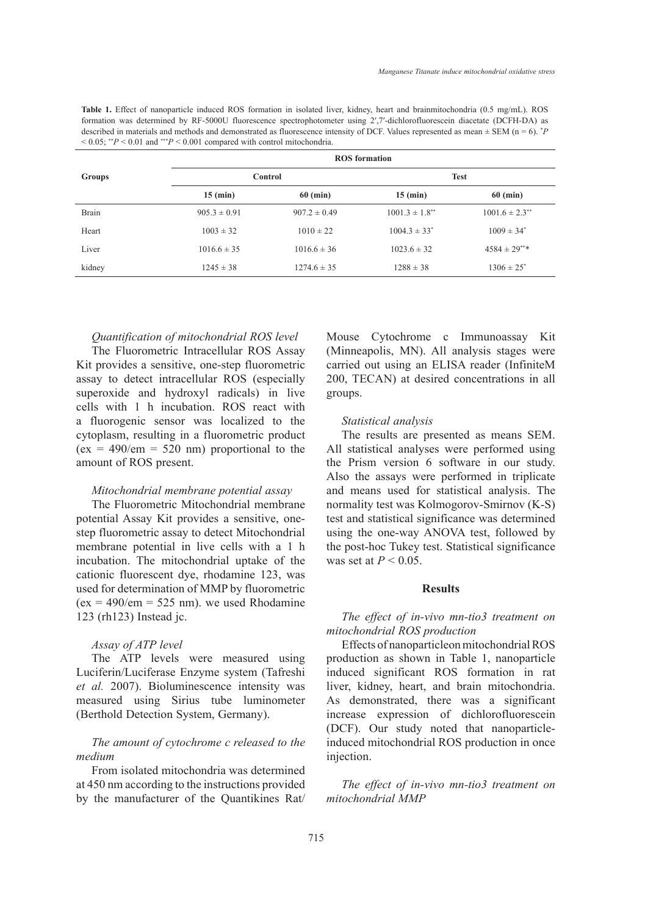**Table 1.** Effect of nanoparticle induced ROS formation in isolated liver, kidney, heart and brainmitochondria (0.5 mg/mL). ROS formation was determined by RF-5000U fluorescence spectrophotometer using 2′,7′-dichlorofluorescein diacetate (DCFH-DA) as described in materials and methods and demonstrated as fluorescence intensity of DCF. Values represented as mean  $\pm$  SEM (n = 6).  $^{\ast}P$ < 0.05; \*\**P* < 0.01 and \*\*\**P* < 0.001 compared with control mitochondria.

|        | <b>ROS</b> formation |                  |                                |                                |  |
|--------|----------------------|------------------|--------------------------------|--------------------------------|--|
| Groups | Control              |                  | <b>Test</b>                    |                                |  |
|        | $15$ (min)           | $60$ (min)       | $15$ (min)                     | $60$ (min)                     |  |
| Brain  | $905.3 \pm 0.91$     | $907.2 \pm 0.49$ | $1001.3 \pm 1.8$ <sup>**</sup> | $1001.6 \pm 2.3$ <sup>**</sup> |  |
| Heart  | $1003 \pm 32$        | $1010 \pm 22$    | $1004.3 \pm 33^*$              | $1009 \pm 34^*$                |  |
| Liver  | $1016.6 \pm 35$      | $1016.6 \pm 36$  | $1023.6 \pm 32$                | $4584 \pm 29***$               |  |
| kidney | $1245 \pm 38$        | $1274.6 \pm 35$  | $1288 \pm 38$                  | $1306 \pm 25^*$                |  |

#### *Quantification of mitochondrial ROS level*

The Fluorometric Intracellular ROS Assay Kit provides a sensitive, one-step fluorometric assay to detect intracellular ROS (especially superoxide and hydroxyl radicals) in live cells with 1 h incubation. ROS react with a fluorogenic sensor was localized to the cytoplasm, resulting in a fluorometric product  $(ex = 490/cm = 520 nm)$  proportional to the amount of ROS present.

#### *Mitochondrial membrane potential assay*

The Fluorometric Mitochondrial membrane potential Assay Kit provides a sensitive, onestep fluorometric assay to detect Mitochondrial membrane potential in live cells with a 1 h incubation. The mitochondrial uptake of the cationic fluorescent dye, rhodamine 123, was used for determination of MMP by fluorometric  $(ex = 490/cm = 525 nm)$ . we used Rhodamine 123 (rh123) Instead jc.

#### *Assay of ATP level*

The ATP levels were measured using Luciferin/Luciferase Enzyme system (Tafreshi *et al.* 2007). Bioluminescence intensity was measured using Sirius tube luminometer (Berthold Detection System, Germany).

# *The amount of cytochrome c released to the medium*

From isolated mitochondria was determined at 450 nm according to the instructions provided by the manufacturer of the Quantikines Rat/ Mouse Cytochrome c Immunoassay Kit (Minneapolis, MN). All analysis stages were carried out using an ELISA reader (InfiniteM 200, TECAN) at desired concentrations in all groups.

#### *Statistical analysis*

The results are presented as means SEM. All statistical analyses were performed using the Prism version 6 software in our study. Also the assays were performed in triplicate and means used for statistical analysis. The normality test was Kolmogorov-Smirnov (K-S) test and statistical significance was determined using the one-way ANOVA test, followed by the post-hoc Tukey test. Statistical significance was set at *P* < 0.05.

### **Results**

# *The effect of in-vivo mn-tio3 treatment on mitochondrial ROS production*

Effects of nanoparticleon mitochondrial ROS production as shown in Table 1, nanoparticle induced significant ROS formation in rat liver, kidney, heart, and brain mitochondria. As demonstrated, there was a significant increase expression of dichlorofluorescein (DCF). Our study noted that nanoparticleinduced mitochondrial ROS production in once injection.

*The effect of in-vivo mn-tio3 treatment on mitochondrial MMP*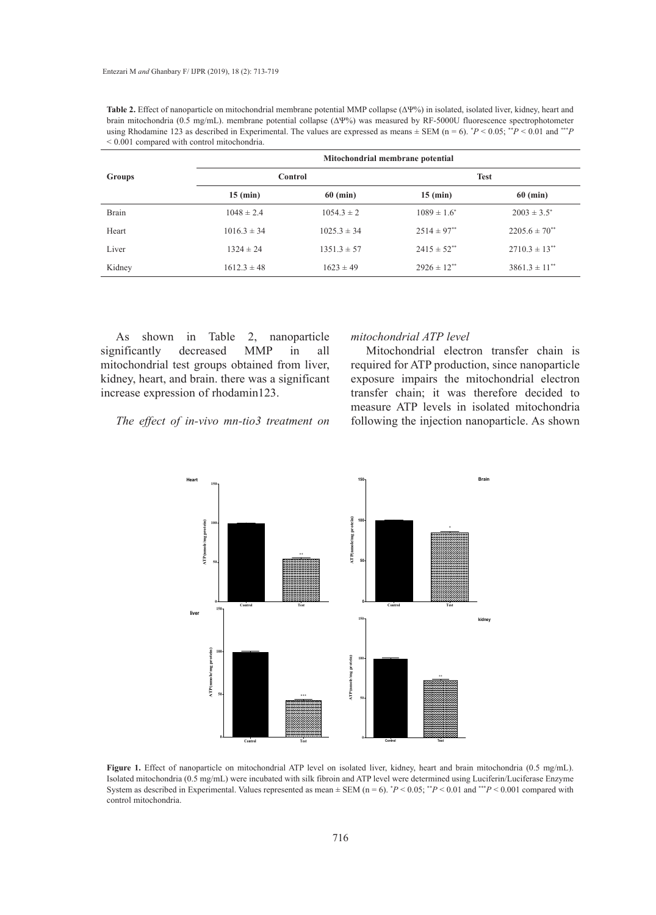| $\leq 0.001$ compared with control mitochondria. |                                  |                 |                    |                      |  |  |
|--------------------------------------------------|----------------------------------|-----------------|--------------------|----------------------|--|--|
| <b>Groups</b>                                    | Mitochondrial membrane potential |                 |                    |                      |  |  |
|                                                  | Control                          |                 | <b>Test</b>        |                      |  |  |
|                                                  | $15$ (min)                       | $60$ (min)      | $15$ (min)         | $60$ (min)           |  |  |
| Brain                                            | $1048 \pm 2.4$                   | $1054.3 \pm 2$  | $1089 \pm 1.6^*$   | $2003 \pm 3.5^*$     |  |  |
| Heart                                            | $1016.3 \pm 34$                  | $1025.3 \pm 34$ | $2514 \pm 97^{**}$ | $2205.6 \pm 70^{**}$ |  |  |
| Liver                                            | $1324 \pm 24$                    | $1351.3 \pm 57$ | $2415 \pm 52^{**}$ | $2710.3 \pm 13^{**}$ |  |  |

Kidney 1612.3 ± 48 1623 ± 49 2926 ± 12<sup>\*\*</sup> 3861.3 ± 11<sup>\*\*</sup>

**Table 2.** Effect of nanoparticle on mitochondrial membrane potential MMP collapse (ΔΨ%) in isolated, isolated liver, kidney, heart and brain mitochondria (0.5 mg/mL). membrane potential collapse (ΔΨ%) was measured by RF-5000U fluorescence spectrophotometer using Rhodamine 123 as described in Experimental. The values are expressed as means  $\pm$  SEM (n = 6).  $^*P$  < 0.05;  $^{**P}$  < 0.01 and  $^{**P}$ 

As shown in Table 2, nanoparticle significantly decreased MMP in all mitochondrial test groups obtained from liver, kidney, heart, and brain. there was a significant increase expression of rhodamin123.

#### *The effect of in-vivo mn-tio3 treatment on*

#### *mitochondrial ATP level*

Mitochondrial electron transfer chain is required for ATP production, since nanoparticle exposure impairs the mitochondrial electron transfer chain; it was therefore decided to measure ATP levels in isolated mitochondria following the injection nanoparticle. As shown



System as described in Experimental. Values represented as mean  $\pm$  SEM (n = 6).  $P < 0.05$ ;  $P < 0.01$  and  $P < 0.001$  compared with Figure 1. Effect of nanoparticle on mitochondrial ATP level on isolated liver, kidney, heart and brain mitochondria (0.5 mg/mL). Isolated mitochondria (0.5 mg/mL) were incubated with silk fibroin and ATP level were determined using Luciferin/Luciferase Enzyme control mitochondria.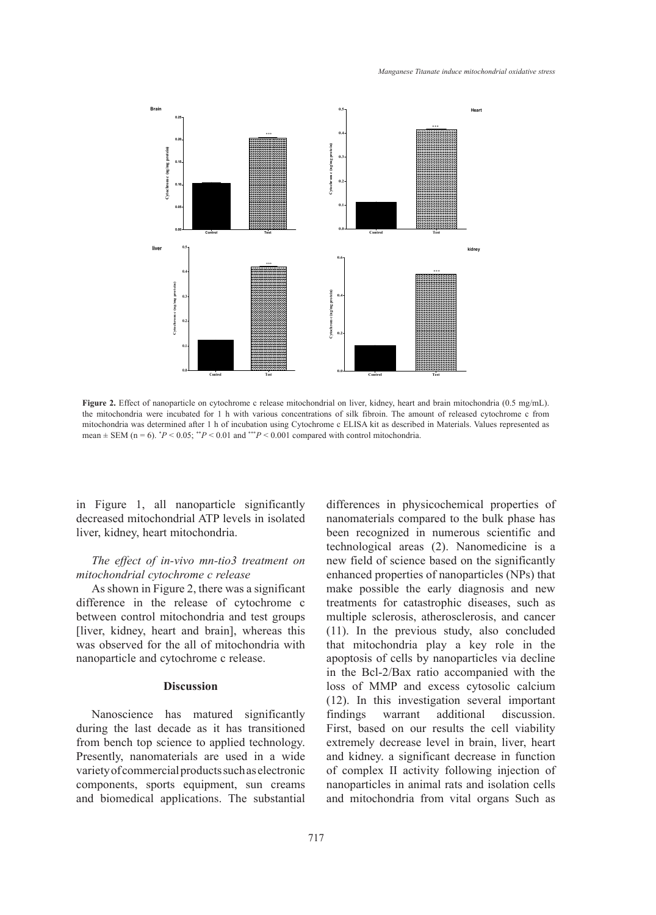

mean  $\pm$  SEM (n = 6).  $^*P$  < 0.05;  $^*P$  < 0.01 and  $^{**}P$  < 0.001 compared with control mitochondria. Figure 2. Effect of nanoparticle on cytochrome c release mitochondrial on liver, kidney, heart and brain mitochondria (0.5 mg/mL). the mitochondria were incubated for 1 h with various concentrations of silk fibroin. The amount of released cytochrome c from mitochondria was determined after 1 h of incubation using Cytochrome c ELISA kit as described in Materials. Values represented as  $\frac{1}{\sqrt{L}}$ 

in Figure 1, all nanoparticle significantly decreased mitochondrial ATP levels in isolated liver, kidney, heart mitochondria.

# *The effect of in-vivo mn-tio3 treatment on mitochondrial cytochrome c release*

As shown in Figure 2, there was a significant difference in the release of cytochrome c between control mitochondria and test groups [liver, kidney, heart and brain], whereas this was observed for the all of mitochondria with nanoparticle and cytochrome c release.

# **Discussion**

Nanoscience has matured significantly during the last decade as it has transitioned from bench top science to applied technology. Presently, nanomaterials are used in a wide variety of commercial products such as electronic components, sports equipment, sun creams and biomedical applications. The substantial

antly differences in physicochemical properties of nanomaterials compared to the bulk phase has been recognized in numerous scientific and technological areas (2). Nanomedicine is a new field of science based on the significantly enhanced properties of nanoparticles (NPs) that make possible the early diagnosis and new treatments for catastrophic diseases, such as multiple sclerosis, atherosclerosis, and cancer (11). In the previous study, also concluded that mitochondria play a key role in the apoptosis of cells by nanoparticles via decline in the Bcl-2/Bax ratio accompanied with the loss of MMP and excess cytosolic calcium (12). In this investigation several important findings warrant additional discussion. First, based on our results the cell viability extremely decrease level in brain, liver, heart and kidney. a significant decrease in function of complex II activity following injection of nanoparticles in animal rats and isolation cells and mitochondria from vital organs Such as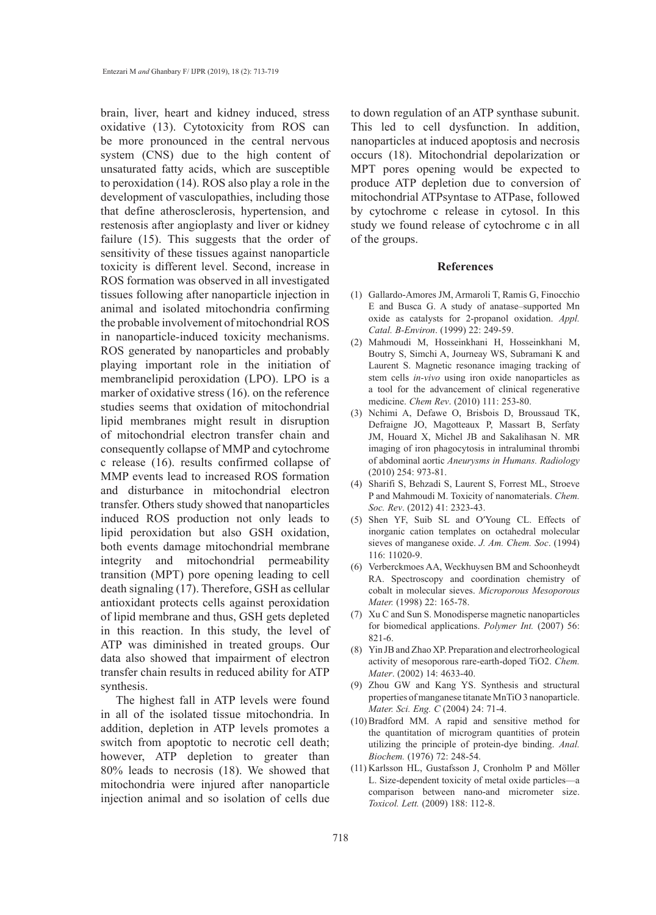brain, liver, heart and kidney induced, stress oxidative (13). Cytotoxicity from ROS can be more pronounced in the central nervous system (CNS) due to the high content of unsaturated fatty acids, which are susceptible to peroxidation (14). ROS also play a role in the development of vasculopathies, including those that define atherosclerosis, hypertension, and restenosis after angioplasty and liver or kidney failure (15). This suggests that the order of sensitivity of these tissues against nanoparticle toxicity is different level. Second, increase in ROS formation was observed in all investigated tissues following after nanoparticle injection in animal and isolated mitochondria confirming the probable involvement of mitochondrial ROS in nanoparticle-induced toxicity mechanisms. ROS generated by nanoparticles and probably playing important role in the initiation of membranelipid peroxidation (LPO). LPO is a marker of oxidative stress (16). on the reference studies seems that oxidation of mitochondrial lipid membranes might result in disruption of mitochondrial electron transfer chain and consequently collapse of MMP and cytochrome c release (16). results confirmed collapse of MMP events lead to increased ROS formation and disturbance in mitochondrial electron transfer. Others study showed that nanoparticles induced ROS production not only leads to lipid peroxidation but also GSH oxidation, both events damage mitochondrial membrane integrity and mitochondrial permeability transition (MPT) pore opening leading to cell death signaling (17). Therefore, GSH as cellular antioxidant protects cells against peroxidation of lipid membrane and thus, GSH gets depleted in this reaction. In this study, the level of ATP was diminished in treated groups. Our data also showed that impairment of electron transfer chain results in reduced ability for ATP synthesis.

The highest fall in ATP levels were found in all of the isolated tissue mitochondria. In addition, depletion in ATP levels promotes a switch from apoptotic to necrotic cell death; however, ATP depletion to greater than 80% leads to necrosis (18). We showed that mitochondria were injured after nanoparticle injection animal and so isolation of cells due

to down regulation of an ATP synthase subunit. This led to cell dysfunction. In addition, nanoparticles at induced apoptosis and necrosis occurs (18). Mitochondrial depolarization or MPT pores opening would be expected to produce ATP depletion due to conversion of mitochondrial ATPsyntase to ATPase, followed by cytochrome c release in cytosol. In this study we found release of cytochrome c in all of the groups.

#### **References**

- Gallardo-Amores JM, Armaroli T, Ramis G, Finocchio (1) E and Busca G. A study of anatase–supported Mn oxide as catalysts for 2-propanol oxidation. *Appl. Catal. B-Environ*. (1999) 22: 249-59.
- (2) Mahmoudi M, Hosseinkhani H, Hosseinkhani M, Boutry S, Simchi A, Journeay WS, Subramani K and Laurent S. Magnetic resonance imaging tracking of stem cells *in-vivo* using iron oxide nanoparticles as a tool for the advancement of clinical regenerative medicine. *Chem Rev*. (2010) 111: 253-80.
- (3) Nchimi A, Defawe O, Brisbois D, Broussaud TK, Defraigne JO, Magotteaux P, Massart B, Serfaty JM, Houard X, Michel JB and Sakalihasan N. MR imaging of iron phagocytosis in intraluminal thrombi of abdominal aortic *Aneurysms in Humans. Radiology* (2010) 254: 973-81.
- (4) Sharifi S, Behzadi S, Laurent S, Forrest ML, Stroeve P and Mahmoudi M. Toxicity of nanomaterials. *Chem. Soc. Rev*. (2012) 41: 2323-43.
- (5) Shen YF, Suib SL and O'Young CL. Effects of inorganic cation templates on octahedral molecular sieves of manganese oxide. *J. Am. Chem. Soc*. (1994) 116: 11020-9.
- (6) Verberckmoes AA, Weckhuysen BM and Schoonheydt RA. Spectroscopy and coordination chemistry of cobalt in molecular sieves. *Microporous Mesoporous Mater.* (1998) 22: 165-78.
- (7) Xu C and Sun S. Monodisperse magnetic nanoparticles for biomedical applications. *Polymer Int.* (2007) 56: 821-6.
- Yin JB and Zhao XP. Preparation and electrorheological (8) activity of mesoporous rare-earth-doped TiO2. *Chem. Mater*. (2002) 14: 4633-40.
- (9) Zhou GW and Kang YS. Synthesis and structural properties of manganese titanate MnTiO 3 nanoparticle. *Mater. Sci. Eng. C* (2004) 24: 71-4.
- $(10)$  Bradford MM. A rapid and sensitive method for the quantitation of microgram quantities of protein utilizing the principle of protein-dye binding. *Anal. Biochem.* (1976) 72: 248-54.
- (11) Karlsson HL, Gustafsson J, Cronholm P and Möller L. Size-dependent toxicity of metal oxide particles—a comparison between nano-and micrometer size. *Toxicol. Lett.* (2009) 188: 112-8.